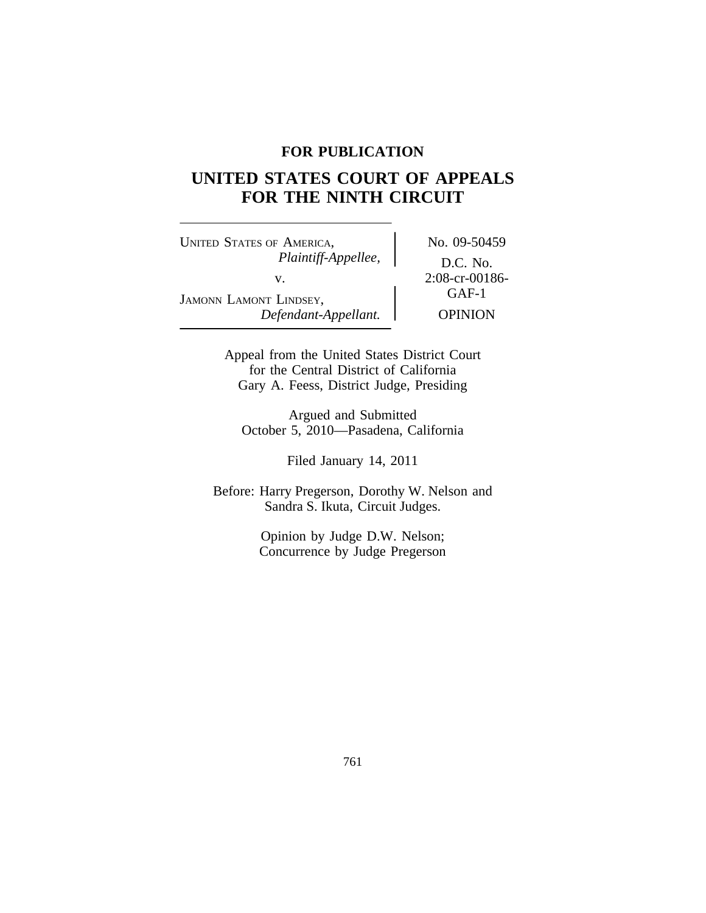# **FOR PUBLICATION**

# **UNITED STATES COURT OF APPEALS FOR THE NINTH CIRCUIT**

UNITED STATES OF AMERICA, No. 09-50459 *Plaintiff-Appellee,* D.C. No. v.  $2:08-cr-00186-$ <br>Largery GAF-1 JAMONN LAMONT LINDSEY, *Defendant-Appellant.* OPINION

Appeal from the United States District Court for the Central District of California Gary A. Feess, District Judge, Presiding

Argued and Submitted October 5, 2010—Pasadena, California

Filed January 14, 2011

Before: Harry Pregerson, Dorothy W. Nelson and Sandra S. Ikuta, Circuit Judges.

> Opinion by Judge D.W. Nelson; Concurrence by Judge Pregerson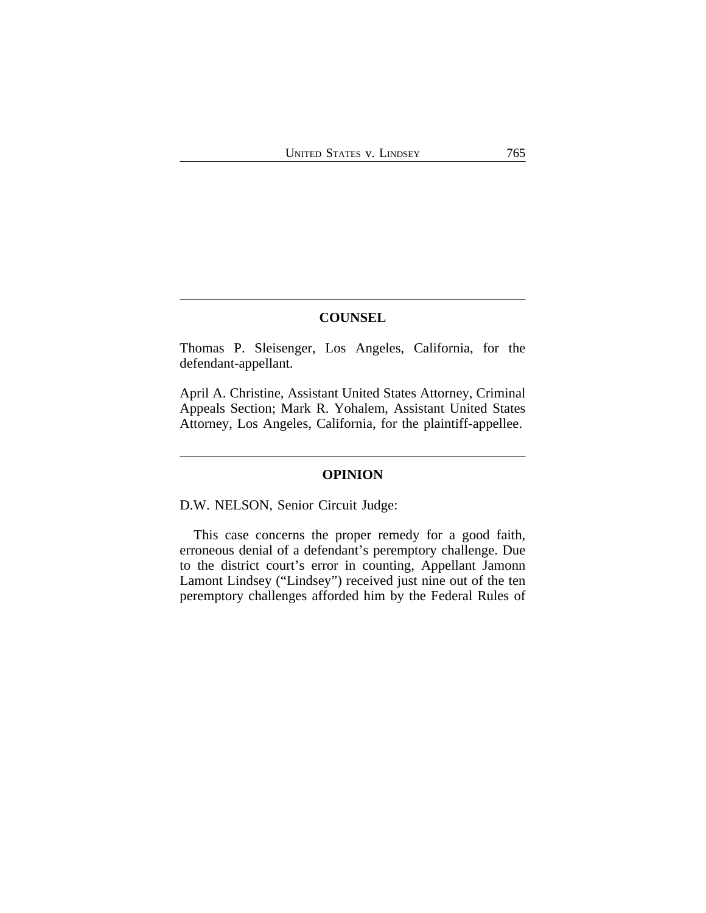# **COUNSEL**

Thomas P. Sleisenger, Los Angeles, California, for the defendant-appellant.

April A. Christine, Assistant United States Attorney, Criminal Appeals Section; Mark R. Yohalem, Assistant United States Attorney, Los Angeles, California, for the plaintiff-appellee.

## **OPINION**

D.W. NELSON, Senior Circuit Judge:

This case concerns the proper remedy for a good faith, erroneous denial of a defendant's peremptory challenge. Due to the district court's error in counting, Appellant Jamonn Lamont Lindsey ("Lindsey") received just nine out of the ten peremptory challenges afforded him by the Federal Rules of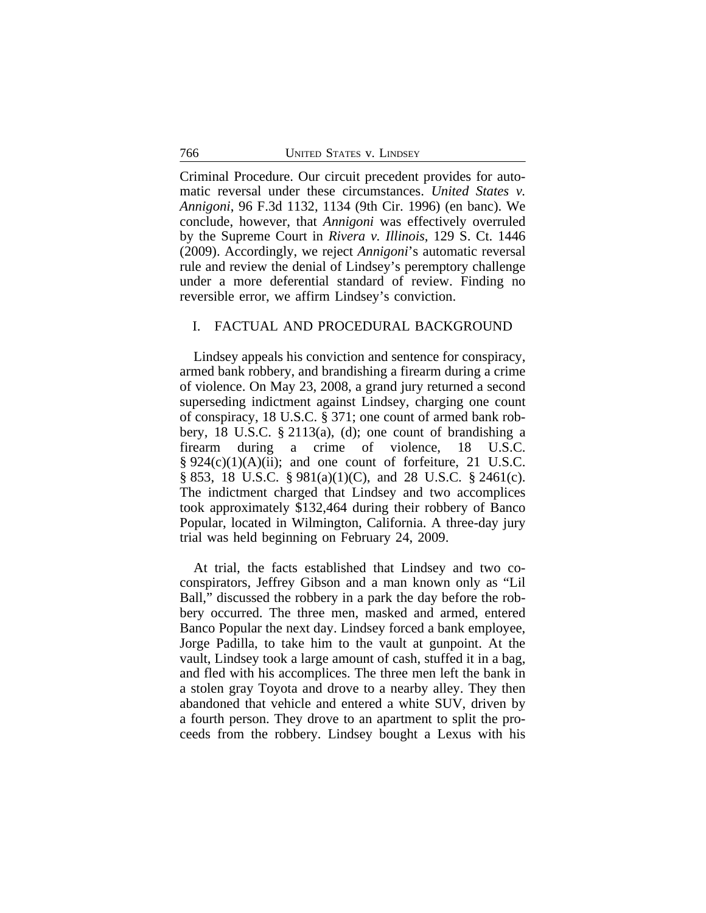Criminal Procedure. Our circuit precedent provides for automatic reversal under these circumstances. *United States v. Annigoni*, 96 F.3d 1132, 1134 (9th Cir. 1996) (en banc). We conclude, however, that *Annigoni* was effectively overruled by the Supreme Court in *Rivera v. Illinois*, 129 S. Ct. 1446 (2009). Accordingly, we reject *Annigoni*'s automatic reversal rule and review the denial of Lindsey's peremptory challenge under a more deferential standard of review. Finding no reversible error, we affirm Lindsey's conviction.

# I. FACTUAL AND PROCEDURAL BACKGROUND

Lindsey appeals his conviction and sentence for conspiracy, armed bank robbery, and brandishing a firearm during a crime of violence. On May 23, 2008, a grand jury returned a second superseding indictment against Lindsey, charging one count of conspiracy, 18 U.S.C. § 371; one count of armed bank robbery, 18 U.S.C. § 2113(a), (d); one count of brandishing a firearm during a crime of violence, 18 U.S.C. § 924(c)(1)(A)(ii); and one count of forfeiture, 21 U.S.C. § 853, 18 U.S.C. § 981(a)(1)(C), and 28 U.S.C. § 2461(c). The indictment charged that Lindsey and two accomplices took approximately \$132,464 during their robbery of Banco Popular, located in Wilmington, California. A three-day jury trial was held beginning on February 24, 2009.

At trial, the facts established that Lindsey and two coconspirators, Jeffrey Gibson and a man known only as "Lil Ball," discussed the robbery in a park the day before the robbery occurred. The three men, masked and armed, entered Banco Popular the next day. Lindsey forced a bank employee, Jorge Padilla, to take him to the vault at gunpoint. At the vault, Lindsey took a large amount of cash, stuffed it in a bag, and fled with his accomplices. The three men left the bank in a stolen gray Toyota and drove to a nearby alley. They then abandoned that vehicle and entered a white SUV, driven by a fourth person. They drove to an apartment to split the proceeds from the robbery. Lindsey bought a Lexus with his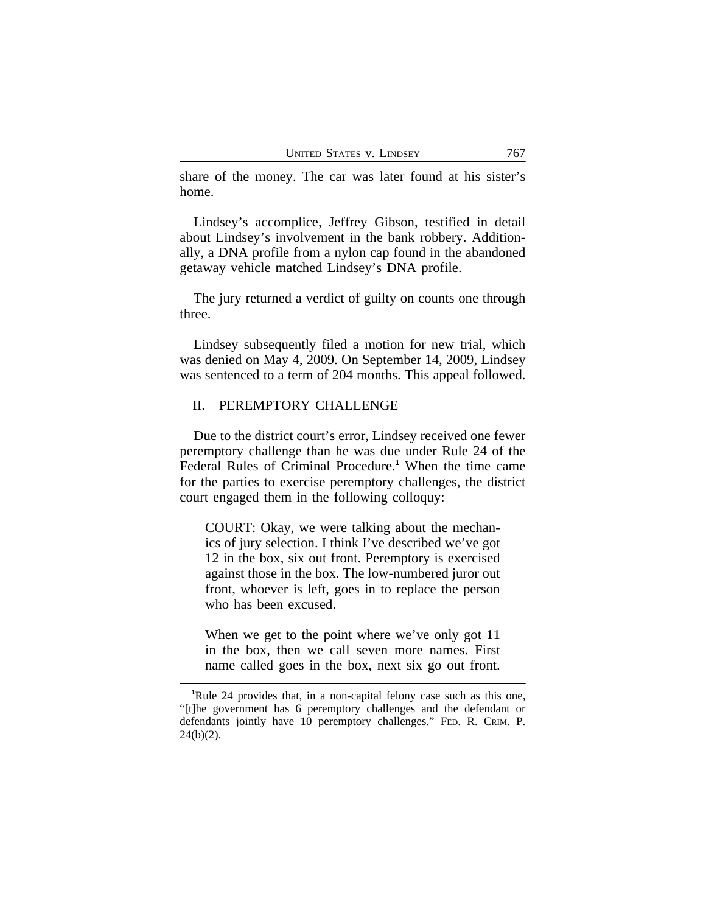share of the money. The car was later found at his sister's home.

Lindsey's accomplice, Jeffrey Gibson, testified in detail about Lindsey's involvement in the bank robbery. Additionally, a DNA profile from a nylon cap found in the abandoned getaway vehicle matched Lindsey's DNA profile.

The jury returned a verdict of guilty on counts one through three.

Lindsey subsequently filed a motion for new trial, which was denied on May 4, 2009. On September 14, 2009, Lindsey was sentenced to a term of 204 months. This appeal followed.

# II. PEREMPTORY CHALLENGE

Due to the district court's error, Lindsey received one fewer peremptory challenge than he was due under Rule 24 of the Federal Rules of Criminal Procedure.**<sup>1</sup>** When the time came for the parties to exercise peremptory challenges, the district court engaged them in the following colloquy:

COURT: Okay, we were talking about the mechanics of jury selection. I think I've described we've got 12 in the box, six out front. Peremptory is exercised against those in the box. The low-numbered juror out front, whoever is left, goes in to replace the person who has been excused.

When we get to the point where we've only got 11 in the box, then we call seven more names. First name called goes in the box, next six go out front.

**<sup>1</sup>**Rule 24 provides that, in a non-capital felony case such as this one, "[t]he government has 6 peremptory challenges and the defendant or defendants jointly have 10 peremptory challenges." FED. R. CRIM. P.  $24(b)(2)$ .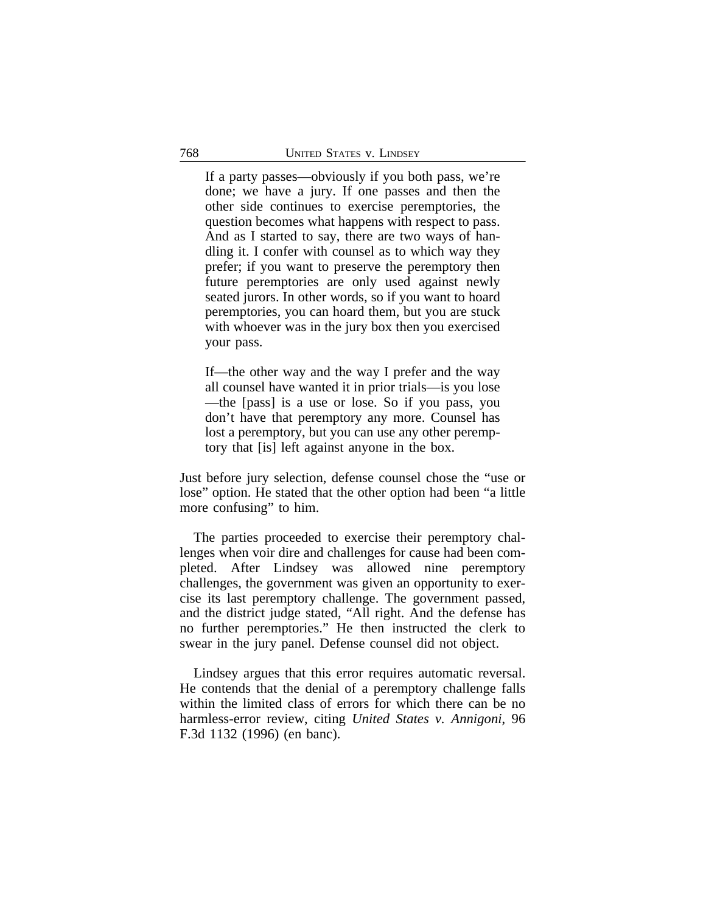If a party passes—obviously if you both pass, we're done; we have a jury. If one passes and then the other side continues to exercise peremptories, the question becomes what happens with respect to pass. And as I started to say, there are two ways of handling it. I confer with counsel as to which way they prefer; if you want to preserve the peremptory then future peremptories are only used against newly seated jurors. In other words, so if you want to hoard peremptories, you can hoard them, but you are stuck with whoever was in the jury box then you exercised your pass.

If—the other way and the way I prefer and the way all counsel have wanted it in prior trials—is you lose —the [pass] is a use or lose. So if you pass, you don't have that peremptory any more. Counsel has lost a peremptory, but you can use any other peremptory that [is] left against anyone in the box.

Just before jury selection, defense counsel chose the "use or lose" option. He stated that the other option had been "a little more confusing" to him.

The parties proceeded to exercise their peremptory challenges when voir dire and challenges for cause had been completed. After Lindsey was allowed nine peremptory challenges, the government was given an opportunity to exercise its last peremptory challenge. The government passed, and the district judge stated, "All right. And the defense has no further peremptories." He then instructed the clerk to swear in the jury panel. Defense counsel did not object.

Lindsey argues that this error requires automatic reversal. He contends that the denial of a peremptory challenge falls within the limited class of errors for which there can be no harmless-error review, citing *United States v. Annigoni*, 96 F.3d 1132 (1996) (en banc).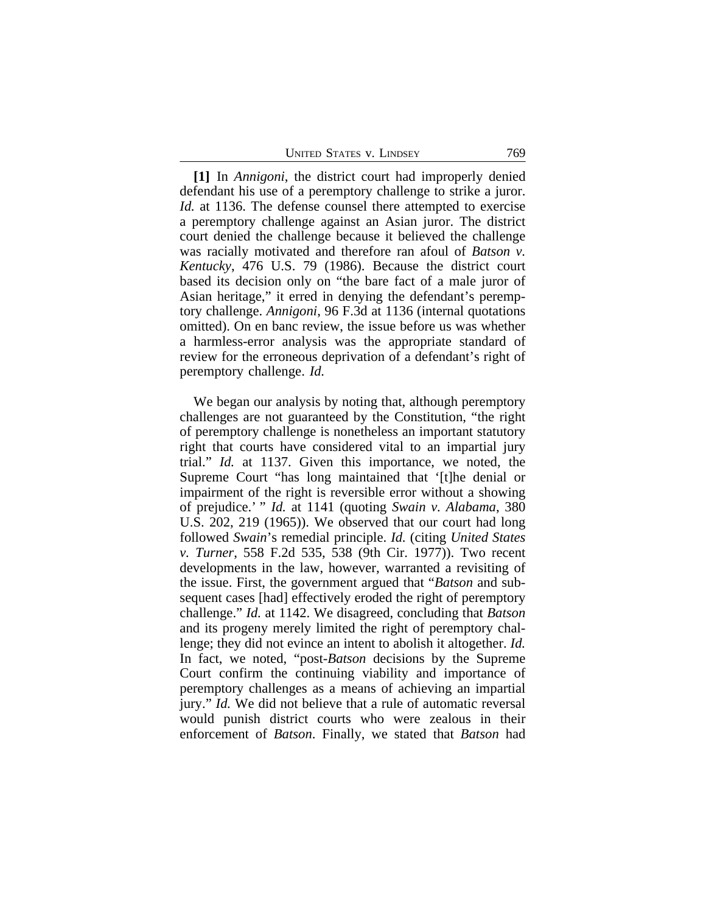UNITED STATES V. LINDSEY 769

**[1]** In *Annigoni*, the district court had improperly denied defendant his use of a peremptory challenge to strike a juror. *Id.* at 1136. The defense counsel there attempted to exercise a peremptory challenge against an Asian juror. The district court denied the challenge because it believed the challenge was racially motivated and therefore ran afoul of *Batson v. Kentucky*, 476 U.S. 79 (1986). Because the district court based its decision only on "the bare fact of a male juror of Asian heritage," it erred in denying the defendant's peremptory challenge. *Annigoni*, 96 F.3d at 1136 (internal quotations omitted). On en banc review, the issue before us was whether a harmless-error analysis was the appropriate standard of review for the erroneous deprivation of a defendant's right of peremptory challenge. *Id.*

We began our analysis by noting that, although peremptory challenges are not guaranteed by the Constitution, "the right of peremptory challenge is nonetheless an important statutory right that courts have considered vital to an impartial jury trial." *Id.* at 1137. Given this importance, we noted, the Supreme Court "has long maintained that '[t]he denial or impairment of the right is reversible error without a showing of prejudice.' " *Id.* at 1141 (quoting *Swain v. Alabama*, 380 U.S. 202, 219 (1965)). We observed that our court had long followed *Swain*'s remedial principle. *Id.* (citing *United States v. Turner*, 558 F.2d 535, 538 (9th Cir. 1977)). Two recent developments in the law, however, warranted a revisiting of the issue. First, the government argued that "*Batson* and subsequent cases [had] effectively eroded the right of peremptory challenge." *Id.* at 1142. We disagreed, concluding that *Batson* and its progeny merely limited the right of peremptory challenge; they did not evince an intent to abolish it altogether. *Id.* In fact, we noted, "post-*Batson* decisions by the Supreme Court confirm the continuing viability and importance of peremptory challenges as a means of achieving an impartial jury." *Id.* We did not believe that a rule of automatic reversal would punish district courts who were zealous in their enforcement of *Batson*. Finally, we stated that *Batson* had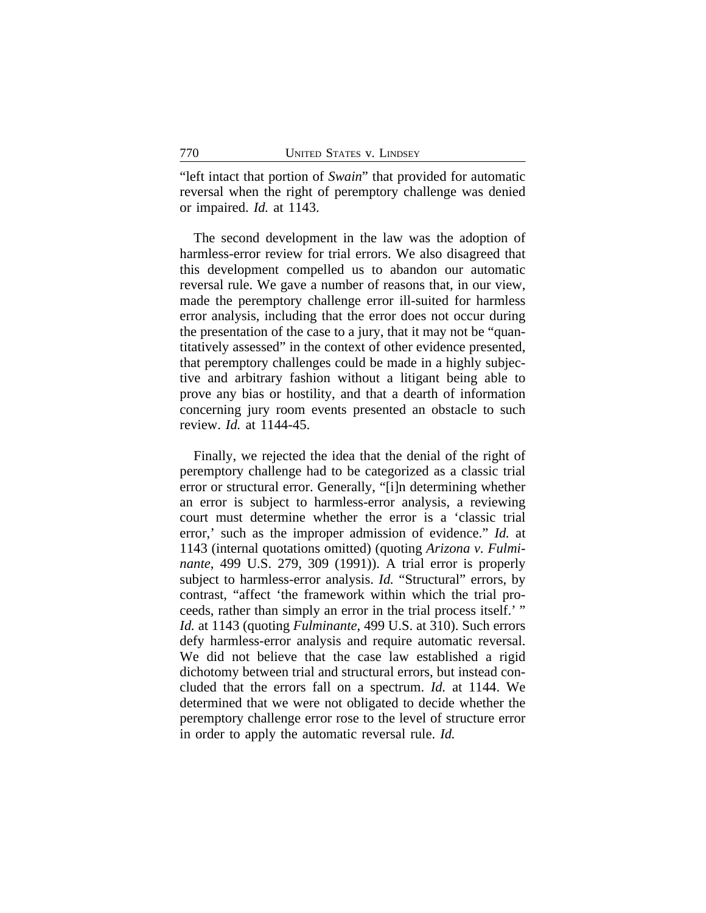"left intact that portion of *Swain*" that provided for automatic reversal when the right of peremptory challenge was denied or impaired. *Id.* at 1143.

The second development in the law was the adoption of harmless-error review for trial errors. We also disagreed that this development compelled us to abandon our automatic reversal rule. We gave a number of reasons that, in our view, made the peremptory challenge error ill-suited for harmless error analysis, including that the error does not occur during the presentation of the case to a jury, that it may not be "quantitatively assessed" in the context of other evidence presented, that peremptory challenges could be made in a highly subjective and arbitrary fashion without a litigant being able to prove any bias or hostility, and that a dearth of information concerning jury room events presented an obstacle to such review. *Id.* at 1144-45.

Finally, we rejected the idea that the denial of the right of peremptory challenge had to be categorized as a classic trial error or structural error. Generally, "[i]n determining whether an error is subject to harmless-error analysis, a reviewing court must determine whether the error is a 'classic trial error,' such as the improper admission of evidence." *Id.* at 1143 (internal quotations omitted) (quoting *Arizona v. Fulminante*, 499 U.S. 279, 309 (1991)). A trial error is properly subject to harmless-error analysis. *Id.* "Structural" errors, by contrast, "affect 'the framework within which the trial proceeds, rather than simply an error in the trial process itself.' " *Id.* at 1143 (quoting *Fulminante*, 499 U.S. at 310). Such errors defy harmless-error analysis and require automatic reversal. We did not believe that the case law established a rigid dichotomy between trial and structural errors, but instead concluded that the errors fall on a spectrum. *Id.* at 1144. We determined that we were not obligated to decide whether the peremptory challenge error rose to the level of structure error in order to apply the automatic reversal rule. *Id.*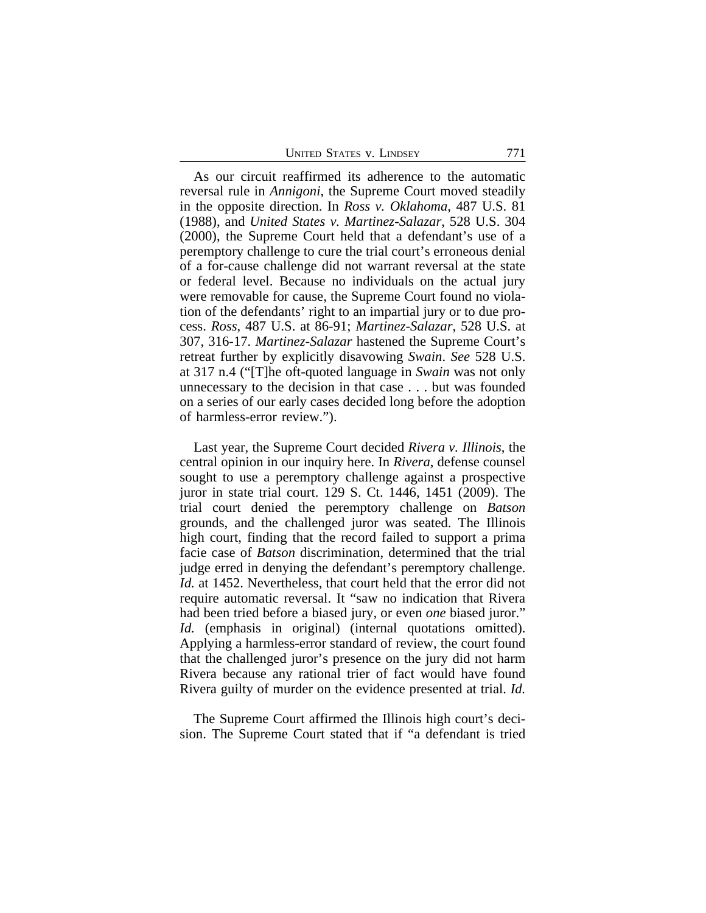UNITED STATES V. LINDSEY 771

As our circuit reaffirmed its adherence to the automatic reversal rule in *Annigoni*, the Supreme Court moved steadily in the opposite direction. In *Ross v. Oklahoma*, 487 U.S. 81 (1988), and *United States v. Martinez-Salazar*, 528 U.S. 304 (2000), the Supreme Court held that a defendant's use of a peremptory challenge to cure the trial court's erroneous denial of a for-cause challenge did not warrant reversal at the state or federal level. Because no individuals on the actual jury were removable for cause, the Supreme Court found no violation of the defendants' right to an impartial jury or to due process. *Ross*, 487 U.S. at 86-91; *Martinez-Salazar*, 528 U.S. at 307, 316-17. *Martinez-Salazar* hastened the Supreme Court's retreat further by explicitly disavowing *Swain*. *See* 528 U.S. at 317 n.4 ("[T]he oft-quoted language in *Swain* was not only unnecessary to the decision in that case . . . but was founded on a series of our early cases decided long before the adoption of harmless-error review.").

Last year, the Supreme Court decided *Rivera v. Illinois*, the central opinion in our inquiry here. In *Rivera*, defense counsel sought to use a peremptory challenge against a prospective juror in state trial court. 129 S. Ct. 1446, 1451 (2009). The trial court denied the peremptory challenge on *Batson* grounds, and the challenged juror was seated. The Illinois high court, finding that the record failed to support a prima facie case of *Batson* discrimination, determined that the trial judge erred in denying the defendant's peremptory challenge. *Id.* at 1452. Nevertheless, that court held that the error did not require automatic reversal. It "saw no indication that Rivera had been tried before a biased jury, or even *one* biased juror." *Id.* (emphasis in original) (internal quotations omitted). Applying a harmless-error standard of review, the court found that the challenged juror's presence on the jury did not harm Rivera because any rational trier of fact would have found Rivera guilty of murder on the evidence presented at trial. *Id.*

The Supreme Court affirmed the Illinois high court's decision. The Supreme Court stated that if "a defendant is tried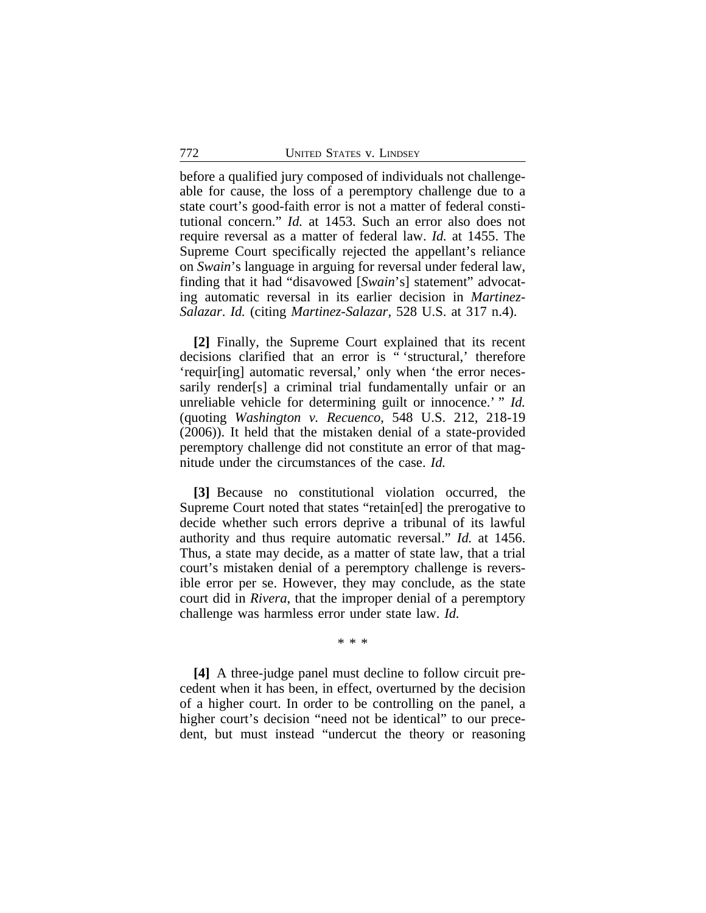before a qualified jury composed of individuals not challengeable for cause, the loss of a peremptory challenge due to a state court's good-faith error is not a matter of federal constitutional concern." *Id.* at 1453. Such an error also does not require reversal as a matter of federal law. *Id.* at 1455. The Supreme Court specifically rejected the appellant's reliance on *Swain*'s language in arguing for reversal under federal law, finding that it had "disavowed [*Swain*'s] statement" advocating automatic reversal in its earlier decision in *Martinez-Salazar*. *Id.* (citing *Martinez-Salazar*, 528 U.S. at 317 n.4).

**[2]** Finally, the Supreme Court explained that its recent decisions clarified that an error is " 'structural,' therefore 'requir[ing] automatic reversal,' only when 'the error necessarily render[s] a criminal trial fundamentally unfair or an unreliable vehicle for determining guilt or innocence.' " *Id.* (quoting *Washington v. Recuenco*, 548 U.S. 212, 218-19 (2006)). It held that the mistaken denial of a state-provided peremptory challenge did not constitute an error of that magnitude under the circumstances of the case. *Id.*

**[3]** Because no constitutional violation occurred, the Supreme Court noted that states "retain[ed] the prerogative to decide whether such errors deprive a tribunal of its lawful authority and thus require automatic reversal." *Id.* at 1456. Thus, a state may decide, as a matter of state law, that a trial court's mistaken denial of a peremptory challenge is reversible error per se. However, they may conclude, as the state court did in *Rivera*, that the improper denial of a peremptory challenge was harmless error under state law. *Id.*

\* \* \*

**[4]** A three-judge panel must decline to follow circuit precedent when it has been, in effect, overturned by the decision of a higher court. In order to be controlling on the panel, a higher court's decision "need not be identical" to our precedent, but must instead "undercut the theory or reasoning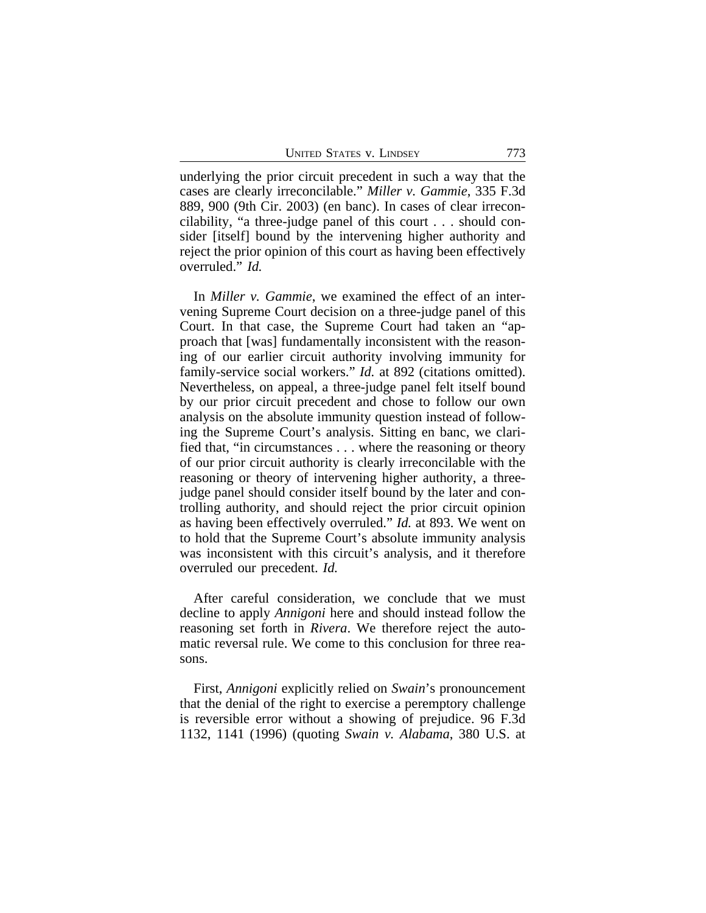underlying the prior circuit precedent in such a way that the cases are clearly irreconcilable." *Miller v. Gammie*, 335 F.3d 889, 900 (9th Cir. 2003) (en banc). In cases of clear irreconcilability, "a three-judge panel of this court . . . should consider [itself] bound by the intervening higher authority and reject the prior opinion of this court as having been effectively overruled." *Id.*

In *Miller v. Gammie*, we examined the effect of an intervening Supreme Court decision on a three-judge panel of this Court. In that case, the Supreme Court had taken an "approach that [was] fundamentally inconsistent with the reasoning of our earlier circuit authority involving immunity for family-service social workers." *Id.* at 892 (citations omitted). Nevertheless, on appeal, a three-judge panel felt itself bound by our prior circuit precedent and chose to follow our own analysis on the absolute immunity question instead of following the Supreme Court's analysis. Sitting en banc, we clarified that, "in circumstances . . . where the reasoning or theory of our prior circuit authority is clearly irreconcilable with the reasoning or theory of intervening higher authority, a threejudge panel should consider itself bound by the later and controlling authority, and should reject the prior circuit opinion as having been effectively overruled." *Id.* at 893. We went on to hold that the Supreme Court's absolute immunity analysis was inconsistent with this circuit's analysis, and it therefore overruled our precedent. *Id.*

After careful consideration, we conclude that we must decline to apply *Annigoni* here and should instead follow the reasoning set forth in *Rivera*. We therefore reject the automatic reversal rule. We come to this conclusion for three reasons.

First, *Annigoni* explicitly relied on *Swain*'s pronouncement that the denial of the right to exercise a peremptory challenge is reversible error without a showing of prejudice. 96 F.3d 1132, 1141 (1996) (quoting *Swain v. Alabama*, 380 U.S. at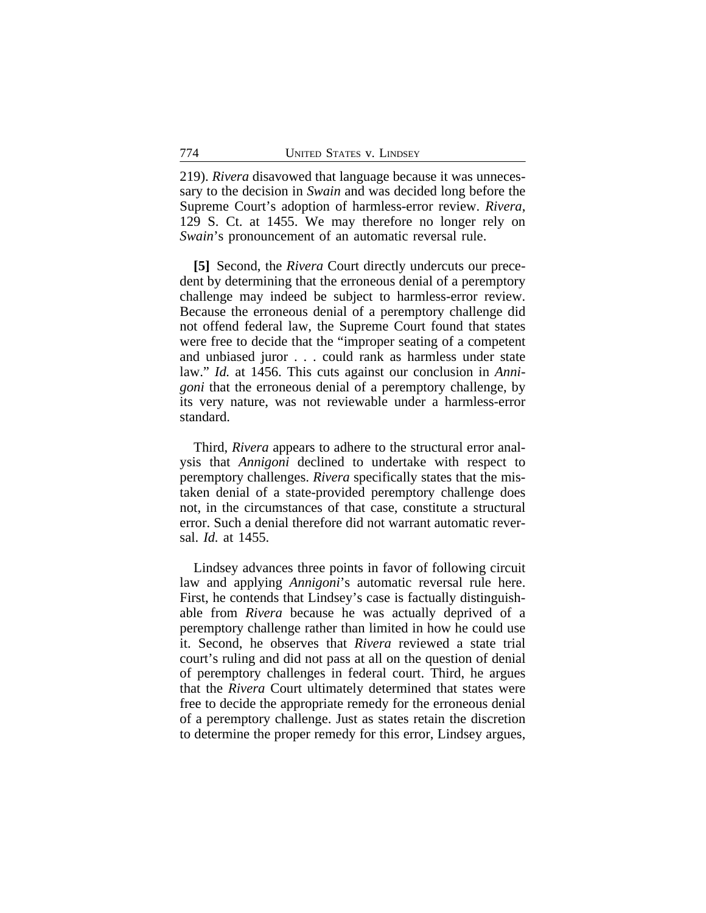219). *Rivera* disavowed that language because it was unnecessary to the decision in *Swain* and was decided long before the Supreme Court's adoption of harmless-error review. *Rivera*, 129 S. Ct. at 1455. We may therefore no longer rely on *Swain*'s pronouncement of an automatic reversal rule.

**[5]** Second, the *Rivera* Court directly undercuts our precedent by determining that the erroneous denial of a peremptory challenge may indeed be subject to harmless-error review. Because the erroneous denial of a peremptory challenge did not offend federal law, the Supreme Court found that states were free to decide that the "improper seating of a competent and unbiased juror . . . could rank as harmless under state law." *Id.* at 1456. This cuts against our conclusion in *Annigoni* that the erroneous denial of a peremptory challenge, by its very nature, was not reviewable under a harmless-error standard.

Third, *Rivera* appears to adhere to the structural error analysis that *Annigoni* declined to undertake with respect to peremptory challenges. *Rivera* specifically states that the mistaken denial of a state-provided peremptory challenge does not, in the circumstances of that case, constitute a structural error. Such a denial therefore did not warrant automatic reversal. *Id.* at 1455.

Lindsey advances three points in favor of following circuit law and applying *Annigoni*'s automatic reversal rule here. First, he contends that Lindsey's case is factually distinguishable from *Rivera* because he was actually deprived of a peremptory challenge rather than limited in how he could use it. Second, he observes that *Rivera* reviewed a state trial court's ruling and did not pass at all on the question of denial of peremptory challenges in federal court. Third, he argues that the *Rivera* Court ultimately determined that states were free to decide the appropriate remedy for the erroneous denial of a peremptory challenge. Just as states retain the discretion to determine the proper remedy for this error, Lindsey argues,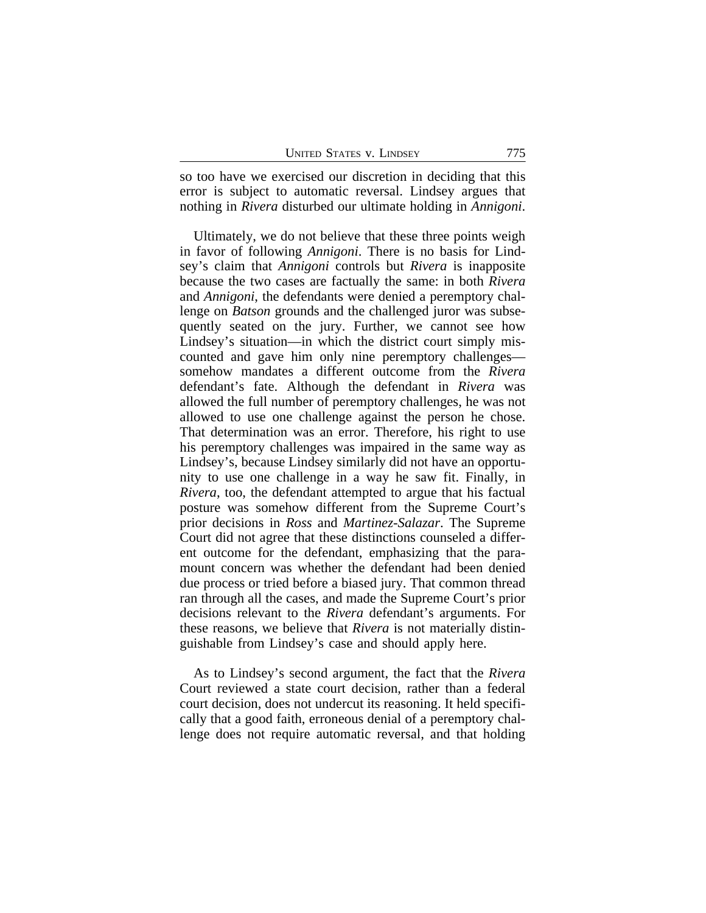so too have we exercised our discretion in deciding that this error is subject to automatic reversal. Lindsey argues that nothing in *Rivera* disturbed our ultimate holding in *Annigoni*.

Ultimately, we do not believe that these three points weigh in favor of following *Annigoni*. There is no basis for Lindsey's claim that *Annigoni* controls but *Rivera* is inapposite because the two cases are factually the same: in both *Rivera* and *Annigoni*, the defendants were denied a peremptory challenge on *Batson* grounds and the challenged juror was subsequently seated on the jury. Further, we cannot see how Lindsey's situation—in which the district court simply miscounted and gave him only nine peremptory challenges somehow mandates a different outcome from the *Rivera* defendant's fate. Although the defendant in *Rivera* was allowed the full number of peremptory challenges, he was not allowed to use one challenge against the person he chose. That determination was an error. Therefore, his right to use his peremptory challenges was impaired in the same way as Lindsey's, because Lindsey similarly did not have an opportunity to use one challenge in a way he saw fit. Finally, in *Rivera*, too, the defendant attempted to argue that his factual posture was somehow different from the Supreme Court's prior decisions in *Ross* and *Martinez-Salazar*. The Supreme Court did not agree that these distinctions counseled a different outcome for the defendant, emphasizing that the paramount concern was whether the defendant had been denied due process or tried before a biased jury. That common thread ran through all the cases, and made the Supreme Court's prior decisions relevant to the *Rivera* defendant's arguments. For these reasons, we believe that *Rivera* is not materially distinguishable from Lindsey's case and should apply here.

As to Lindsey's second argument, the fact that the *Rivera* Court reviewed a state court decision, rather than a federal court decision, does not undercut its reasoning. It held specifically that a good faith, erroneous denial of a peremptory challenge does not require automatic reversal, and that holding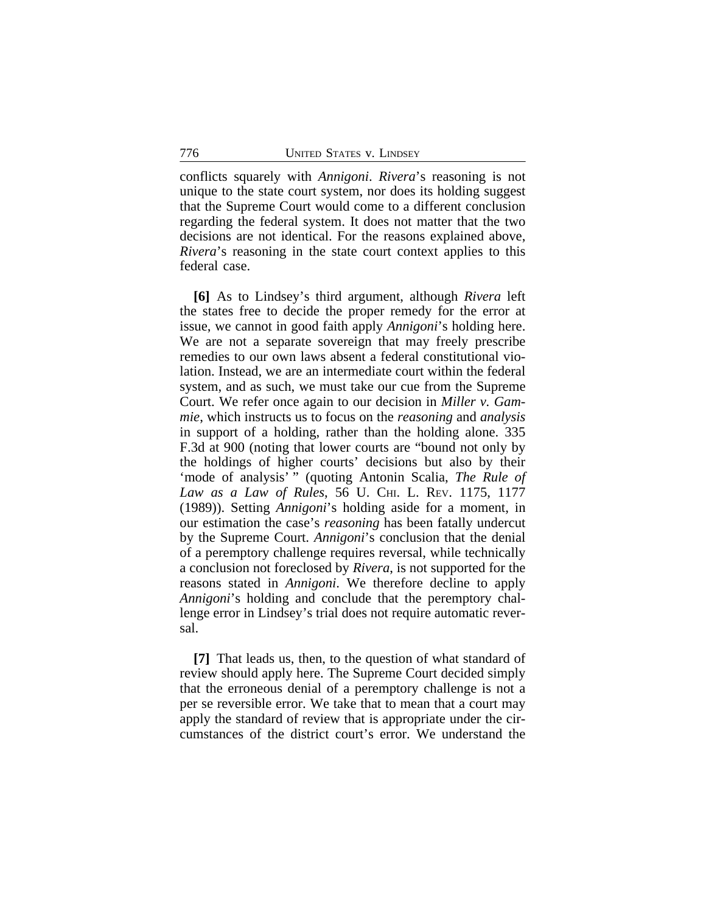conflicts squarely with *Annigoni*. *Rivera*'s reasoning is not unique to the state court system, nor does its holding suggest that the Supreme Court would come to a different conclusion regarding the federal system. It does not matter that the two decisions are not identical. For the reasons explained above, *Rivera*'s reasoning in the state court context applies to this federal case.

**[6]** As to Lindsey's third argument, although *Rivera* left the states free to decide the proper remedy for the error at issue, we cannot in good faith apply *Annigoni*'s holding here. We are not a separate sovereign that may freely prescribe remedies to our own laws absent a federal constitutional violation. Instead, we are an intermediate court within the federal system, and as such, we must take our cue from the Supreme Court. We refer once again to our decision in *Miller v. Gammie*, which instructs us to focus on the *reasoning* and *analysis* in support of a holding, rather than the holding alone. 335 F.3d at 900 (noting that lower courts are "bound not only by the holdings of higher courts' decisions but also by their 'mode of analysis' " (quoting Antonin Scalia, *The Rule of* Law as a Law of Rules, 56 U. CHI. L. REV. 1175, 1177 (1989)). Setting *Annigoni*'s holding aside for a moment, in our estimation the case's *reasoning* has been fatally undercut by the Supreme Court. *Annigoni*'s conclusion that the denial of a peremptory challenge requires reversal, while technically a conclusion not foreclosed by *Rivera*, is not supported for the reasons stated in *Annigoni*. We therefore decline to apply *Annigoni*'s holding and conclude that the peremptory challenge error in Lindsey's trial does not require automatic reversal.

**[7]** That leads us, then, to the question of what standard of review should apply here. The Supreme Court decided simply that the erroneous denial of a peremptory challenge is not a per se reversible error. We take that to mean that a court may apply the standard of review that is appropriate under the circumstances of the district court's error. We understand the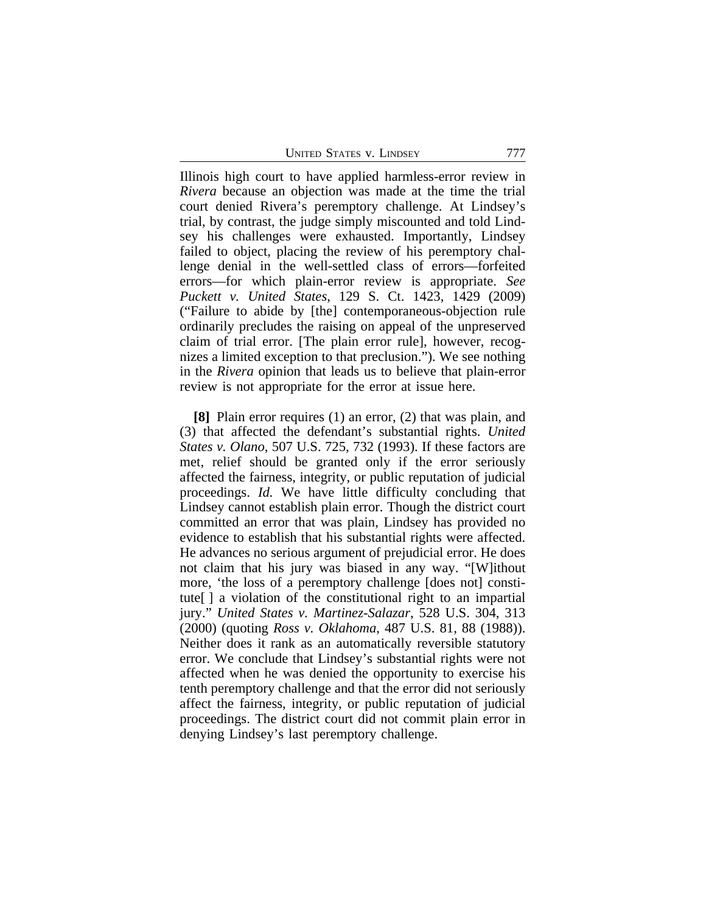UNITED STATES V. LINDSEY 777

Illinois high court to have applied harmless-error review in *Rivera* because an objection was made at the time the trial court denied Rivera's peremptory challenge. At Lindsey's trial, by contrast, the judge simply miscounted and told Lindsey his challenges were exhausted. Importantly, Lindsey failed to object, placing the review of his peremptory challenge denial in the well-settled class of errors—forfeited errors—for which plain-error review is appropriate. *See Puckett v. United States*, 129 S. Ct. 1423, 1429 (2009) ("Failure to abide by [the] contemporaneous-objection rule ordinarily precludes the raising on appeal of the unpreserved claim of trial error. [The plain error rule], however, recognizes a limited exception to that preclusion."). We see nothing in the *Rivera* opinion that leads us to believe that plain-error review is not appropriate for the error at issue here.

**[8]** Plain error requires (1) an error, (2) that was plain, and (3) that affected the defendant's substantial rights. *United States v. Olano*, 507 U.S. 725, 732 (1993). If these factors are met, relief should be granted only if the error seriously affected the fairness, integrity, or public reputation of judicial proceedings. *Id.* We have little difficulty concluding that Lindsey cannot establish plain error. Though the district court committed an error that was plain, Lindsey has provided no evidence to establish that his substantial rights were affected. He advances no serious argument of prejudicial error. He does not claim that his jury was biased in any way. "[W]ithout more, 'the loss of a peremptory challenge [does not] constitute[ ] a violation of the constitutional right to an impartial jury." *United States v. Martinez-Salazar*, 528 U.S. 304, 313 (2000) (quoting *Ross v. Oklahoma*, 487 U.S. 81, 88 (1988)). Neither does it rank as an automatically reversible statutory error. We conclude that Lindsey's substantial rights were not affected when he was denied the opportunity to exercise his tenth peremptory challenge and that the error did not seriously affect the fairness, integrity, or public reputation of judicial proceedings. The district court did not commit plain error in denying Lindsey's last peremptory challenge.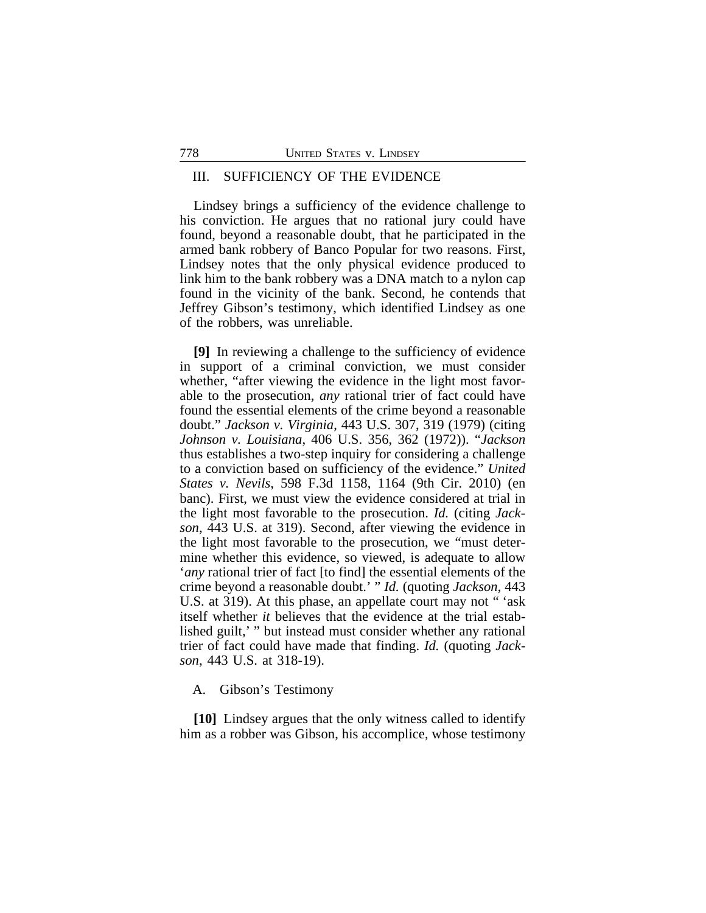#### III. SUFFICIENCY OF THE EVIDENCE

Lindsey brings a sufficiency of the evidence challenge to his conviction. He argues that no rational jury could have found, beyond a reasonable doubt, that he participated in the armed bank robbery of Banco Popular for two reasons. First, Lindsey notes that the only physical evidence produced to link him to the bank robbery was a DNA match to a nylon cap found in the vicinity of the bank. Second, he contends that Jeffrey Gibson's testimony, which identified Lindsey as one of the robbers, was unreliable.

**[9]** In reviewing a challenge to the sufficiency of evidence in support of a criminal conviction, we must consider whether, "after viewing the evidence in the light most favorable to the prosecution, *any* rational trier of fact could have found the essential elements of the crime beyond a reasonable doubt." *Jackson v. Virginia*, 443 U.S. 307, 319 (1979) (citing *Johnson v. Louisiana*, 406 U.S. 356, 362 (1972)). "*Jackson* thus establishes a two-step inquiry for considering a challenge to a conviction based on sufficiency of the evidence." *United States v. Nevils*, 598 F.3d 1158, 1164 (9th Cir. 2010) (en banc). First, we must view the evidence considered at trial in the light most favorable to the prosecution. *Id.* (citing *Jackson*, 443 U.S. at 319). Second, after viewing the evidence in the light most favorable to the prosecution, we "must determine whether this evidence, so viewed, is adequate to allow '*any* rational trier of fact [to find] the essential elements of the crime beyond a reasonable doubt.' " *Id.* (quoting *Jackson*, 443 U.S. at 319). At this phase, an appellate court may not "'ask itself whether *it* believes that the evidence at the trial established guilt,' " but instead must consider whether any rational trier of fact could have made that finding. *Id.* (quoting *Jackson*, 443 U.S. at 318-19).

A. Gibson's Testimony

**[10]** Lindsey argues that the only witness called to identify him as a robber was Gibson, his accomplice, whose testimony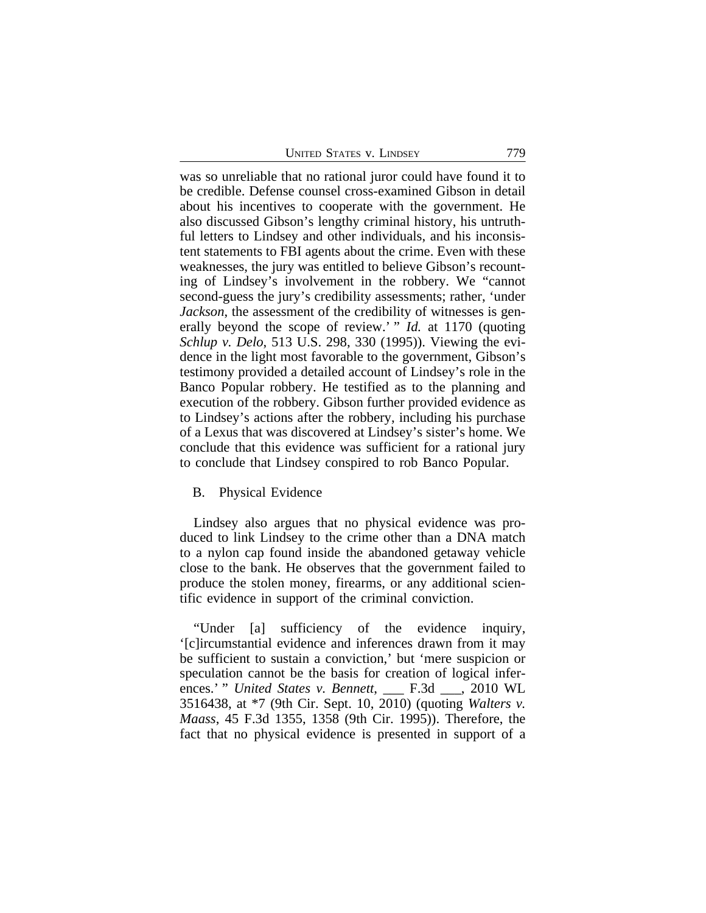was so unreliable that no rational juror could have found it to be credible. Defense counsel cross-examined Gibson in detail about his incentives to cooperate with the government. He also discussed Gibson's lengthy criminal history, his untruthful letters to Lindsey and other individuals, and his inconsistent statements to FBI agents about the crime. Even with these weaknesses, the jury was entitled to believe Gibson's recounting of Lindsey's involvement in the robbery. We "cannot second-guess the jury's credibility assessments; rather, 'under *Jackson*, the assessment of the credibility of witnesses is generally beyond the scope of review.' " *Id.* at 1170 (quoting *Schlup v. Delo*, 513 U.S. 298, 330 (1995)). Viewing the evidence in the light most favorable to the government, Gibson's testimony provided a detailed account of Lindsey's role in the Banco Popular robbery. He testified as to the planning and execution of the robbery. Gibson further provided evidence as to Lindsey's actions after the robbery, including his purchase of a Lexus that was discovered at Lindsey's sister's home. We conclude that this evidence was sufficient for a rational jury to conclude that Lindsey conspired to rob Banco Popular.

#### B. Physical Evidence

Lindsey also argues that no physical evidence was produced to link Lindsey to the crime other than a DNA match to a nylon cap found inside the abandoned getaway vehicle close to the bank. He observes that the government failed to produce the stolen money, firearms, or any additional scientific evidence in support of the criminal conviction.

"Under [a] sufficiency of the evidence inquiry, '[c]ircumstantial evidence and inferences drawn from it may be sufficient to sustain a conviction,' but 'mere suspicion or speculation cannot be the basis for creation of logical inferences.' " *United States v. Bennett*, \_\_\_ F.3d \_\_\_, 2010 WL 3516438, at \*7 (9th Cir. Sept. 10, 2010) (quoting *Walters v. Maass*, 45 F.3d 1355, 1358 (9th Cir. 1995)). Therefore, the fact that no physical evidence is presented in support of a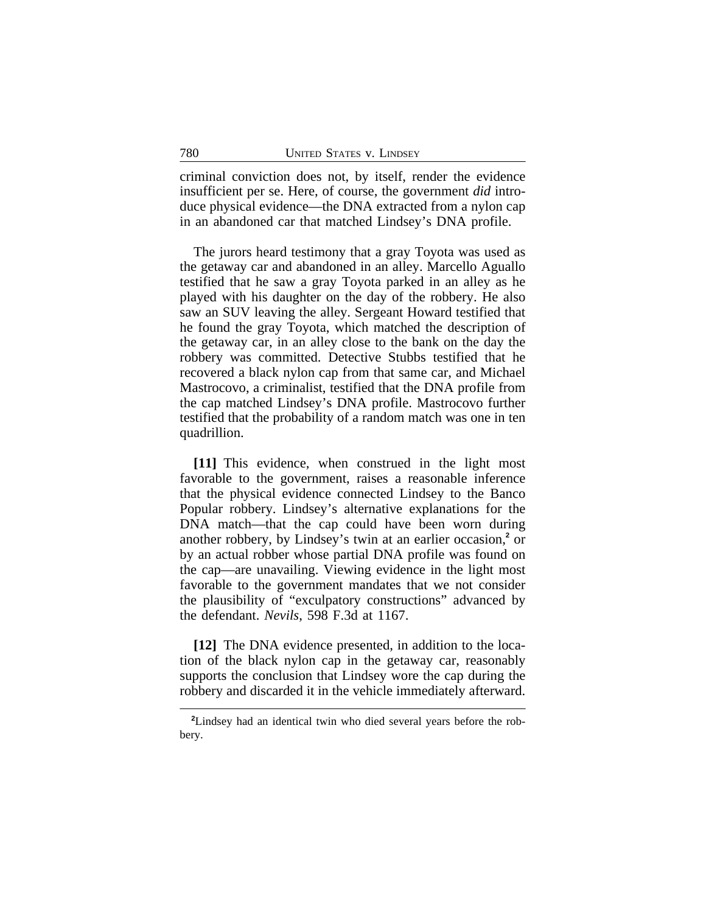criminal conviction does not, by itself, render the evidence insufficient per se. Here, of course, the government *did* introduce physical evidence—the DNA extracted from a nylon cap in an abandoned car that matched Lindsey's DNA profile.

The jurors heard testimony that a gray Toyota was used as the getaway car and abandoned in an alley. Marcello Aguallo testified that he saw a gray Toyota parked in an alley as he played with his daughter on the day of the robbery. He also saw an SUV leaving the alley. Sergeant Howard testified that he found the gray Toyota, which matched the description of the getaway car, in an alley close to the bank on the day the robbery was committed. Detective Stubbs testified that he recovered a black nylon cap from that same car, and Michael Mastrocovo, a criminalist, testified that the DNA profile from the cap matched Lindsey's DNA profile. Mastrocovo further testified that the probability of a random match was one in ten quadrillion.

**[11]** This evidence, when construed in the light most favorable to the government, raises a reasonable inference that the physical evidence connected Lindsey to the Banco Popular robbery. Lindsey's alternative explanations for the DNA match—that the cap could have been worn during another robbery, by Lindsey's twin at an earlier occasion,<sup>2</sup> or by an actual robber whose partial DNA profile was found on the cap—are unavailing. Viewing evidence in the light most favorable to the government mandates that we not consider the plausibility of "exculpatory constructions" advanced by the defendant. *Nevils*, 598 F.3d at 1167.

**[12]** The DNA evidence presented, in addition to the location of the black nylon cap in the getaway car, reasonably supports the conclusion that Lindsey wore the cap during the robbery and discarded it in the vehicle immediately afterward.

**<sup>2</sup>**Lindsey had an identical twin who died several years before the robbery.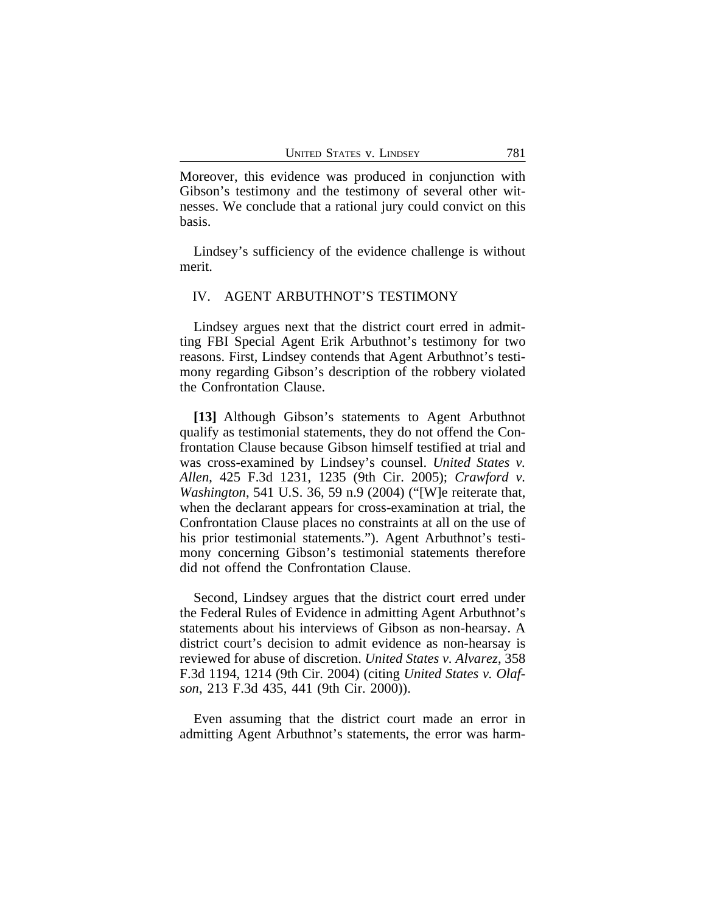Moreover, this evidence was produced in conjunction with Gibson's testimony and the testimony of several other witnesses. We conclude that a rational jury could convict on this basis.

Lindsey's sufficiency of the evidence challenge is without merit.

#### IV. AGENT ARBUTHNOT'S TESTIMONY

Lindsey argues next that the district court erred in admitting FBI Special Agent Erik Arbuthnot's testimony for two reasons. First, Lindsey contends that Agent Arbuthnot's testimony regarding Gibson's description of the robbery violated the Confrontation Clause.

**[13]** Although Gibson's statements to Agent Arbuthnot qualify as testimonial statements, they do not offend the Confrontation Clause because Gibson himself testified at trial and was cross-examined by Lindsey's counsel. *United States v. Allen*, 425 F.3d 1231, 1235 (9th Cir. 2005); *Crawford v. Washington*, 541 U.S. 36, 59 n.9 (2004) ("[W]e reiterate that, when the declarant appears for cross-examination at trial, the Confrontation Clause places no constraints at all on the use of his prior testimonial statements."). Agent Arbuthnot's testimony concerning Gibson's testimonial statements therefore did not offend the Confrontation Clause.

Second, Lindsey argues that the district court erred under the Federal Rules of Evidence in admitting Agent Arbuthnot's statements about his interviews of Gibson as non-hearsay. A district court's decision to admit evidence as non-hearsay is reviewed for abuse of discretion. *United States v. Alvarez*, 358 F.3d 1194, 1214 (9th Cir. 2004) (citing *United States v. Olafson*, 213 F.3d 435, 441 (9th Cir. 2000)).

Even assuming that the district court made an error in admitting Agent Arbuthnot's statements, the error was harm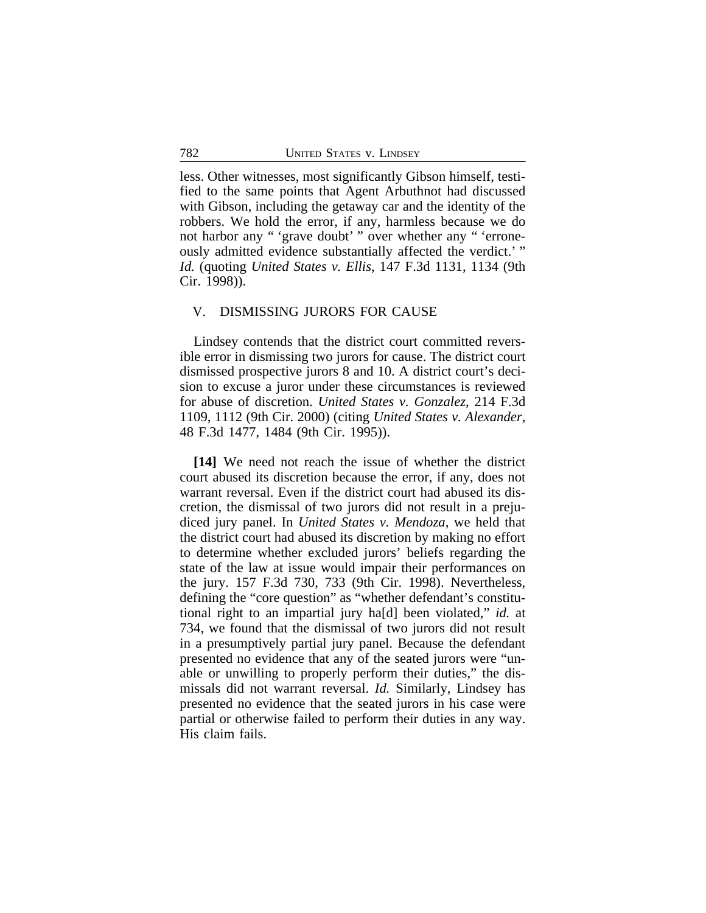less. Other witnesses, most significantly Gibson himself, testified to the same points that Agent Arbuthnot had discussed with Gibson, including the getaway car and the identity of the robbers. We hold the error, if any, harmless because we do not harbor any " 'grave doubt' " over whether any " 'erroneously admitted evidence substantially affected the verdict.' " *Id.* (quoting *United States v. Ellis*, 147 F.3d 1131, 1134 (9th Cir. 1998)).

# V. DISMISSING JURORS FOR CAUSE

Lindsey contends that the district court committed reversible error in dismissing two jurors for cause. The district court dismissed prospective jurors 8 and 10. A district court's decision to excuse a juror under these circumstances is reviewed for abuse of discretion. *United States v. Gonzalez*, 214 F.3d 1109, 1112 (9th Cir. 2000) (citing *United States v. Alexander*, 48 F.3d 1477, 1484 (9th Cir. 1995)).

**[14]** We need not reach the issue of whether the district court abused its discretion because the error, if any, does not warrant reversal. Even if the district court had abused its discretion, the dismissal of two jurors did not result in a prejudiced jury panel. In *United States v. Mendoza*, we held that the district court had abused its discretion by making no effort to determine whether excluded jurors' beliefs regarding the state of the law at issue would impair their performances on the jury. 157 F.3d 730, 733 (9th Cir. 1998). Nevertheless, defining the "core question" as "whether defendant's constitutional right to an impartial jury ha[d] been violated," *id.* at 734, we found that the dismissal of two jurors did not result in a presumptively partial jury panel. Because the defendant presented no evidence that any of the seated jurors were "unable or unwilling to properly perform their duties," the dismissals did not warrant reversal. *Id.* Similarly, Lindsey has presented no evidence that the seated jurors in his case were partial or otherwise failed to perform their duties in any way. His claim fails.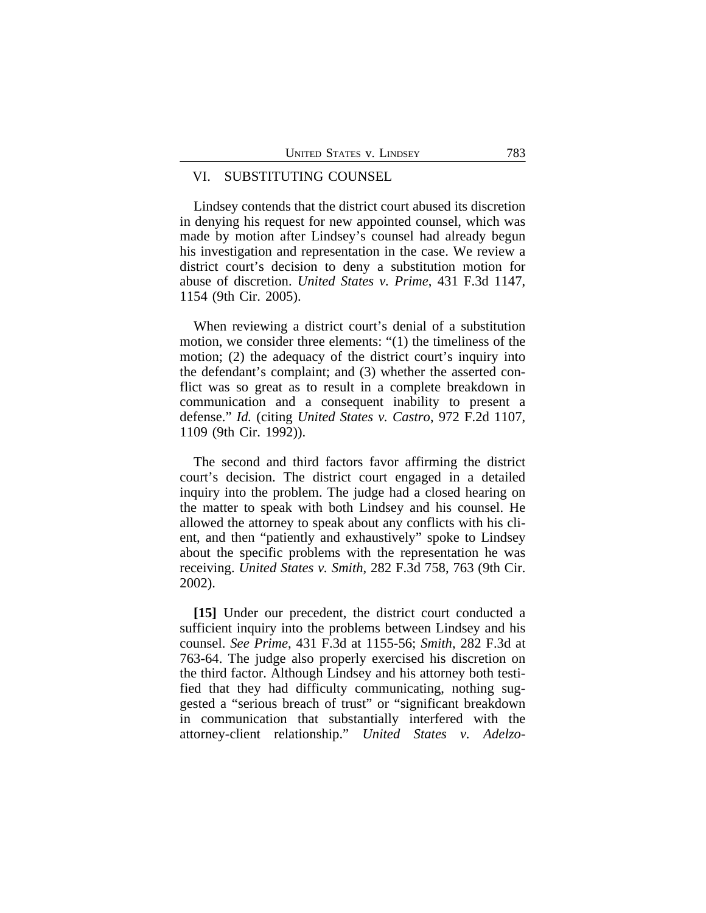#### VI. SUBSTITUTING COUNSEL

Lindsey contends that the district court abused its discretion in denying his request for new appointed counsel, which was made by motion after Lindsey's counsel had already begun his investigation and representation in the case. We review a district court's decision to deny a substitution motion for abuse of discretion. *United States v. Prime*, 431 F.3d 1147, 1154 (9th Cir. 2005).

When reviewing a district court's denial of a substitution motion, we consider three elements: "(1) the timeliness of the motion; (2) the adequacy of the district court's inquiry into the defendant's complaint; and (3) whether the asserted conflict was so great as to result in a complete breakdown in communication and a consequent inability to present a defense." *Id.* (citing *United States v. Castro*, 972 F.2d 1107, 1109 (9th Cir. 1992)).

The second and third factors favor affirming the district court's decision. The district court engaged in a detailed inquiry into the problem. The judge had a closed hearing on the matter to speak with both Lindsey and his counsel. He allowed the attorney to speak about any conflicts with his client, and then "patiently and exhaustively" spoke to Lindsey about the specific problems with the representation he was receiving. *United States v. Smith*, 282 F.3d 758, 763 (9th Cir. 2002).

**[15]** Under our precedent, the district court conducted a sufficient inquiry into the problems between Lindsey and his counsel. *See Prime*, 431 F.3d at 1155-56; *Smith*, 282 F.3d at 763-64. The judge also properly exercised his discretion on the third factor. Although Lindsey and his attorney both testified that they had difficulty communicating, nothing suggested a "serious breach of trust" or "significant breakdown in communication that substantially interfered with the attorney-client relationship." *United States v. Adelzo-*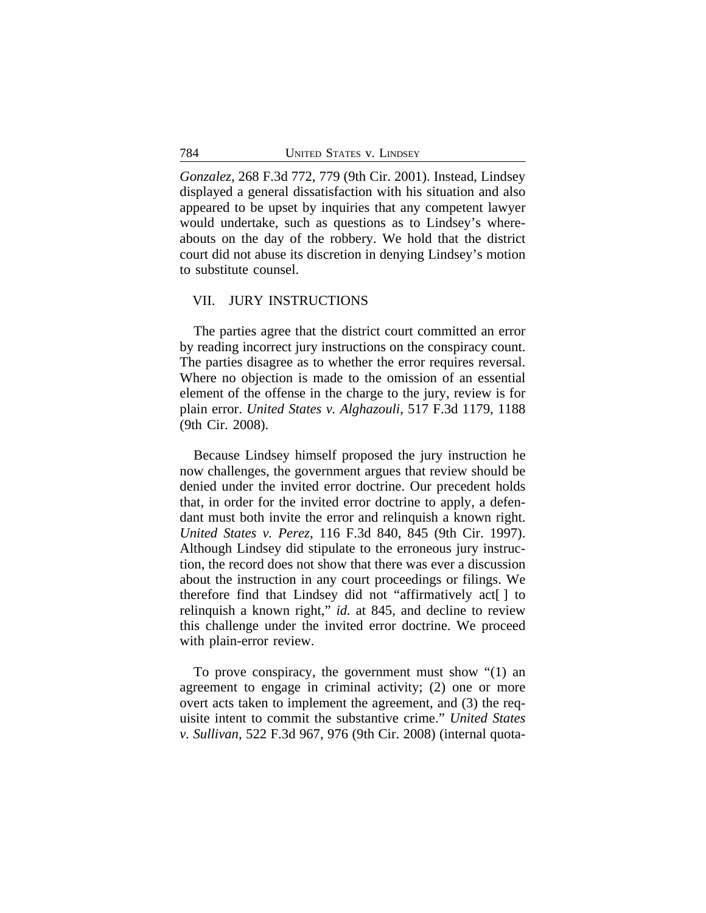*Gonzalez*, 268 F.3d 772, 779 (9th Cir. 2001). Instead, Lindsey displayed a general dissatisfaction with his situation and also appeared to be upset by inquiries that any competent lawyer would undertake, such as questions as to Lindsey's whereabouts on the day of the robbery. We hold that the district court did not abuse its discretion in denying Lindsey's motion to substitute counsel.

# VII. JURY INSTRUCTIONS

The parties agree that the district court committed an error by reading incorrect jury instructions on the conspiracy count. The parties disagree as to whether the error requires reversal. Where no objection is made to the omission of an essential element of the offense in the charge to the jury, review is for plain error. *United States v. Alghazouli*, 517 F.3d 1179, 1188 (9th Cir. 2008).

Because Lindsey himself proposed the jury instruction he now challenges, the government argues that review should be denied under the invited error doctrine. Our precedent holds that, in order for the invited error doctrine to apply, a defendant must both invite the error and relinquish a known right. *United States v. Perez*, 116 F.3d 840, 845 (9th Cir. 1997). Although Lindsey did stipulate to the erroneous jury instruction, the record does not show that there was ever a discussion about the instruction in any court proceedings or filings. We therefore find that Lindsey did not "affirmatively act[ ] to relinquish a known right," *id.* at 845, and decline to review this challenge under the invited error doctrine. We proceed with plain-error review.

To prove conspiracy, the government must show "(1) an agreement to engage in criminal activity; (2) one or more overt acts taken to implement the agreement, and (3) the requisite intent to commit the substantive crime." *United States v. Sullivan*, 522 F.3d 967, 976 (9th Cir. 2008) (internal quota-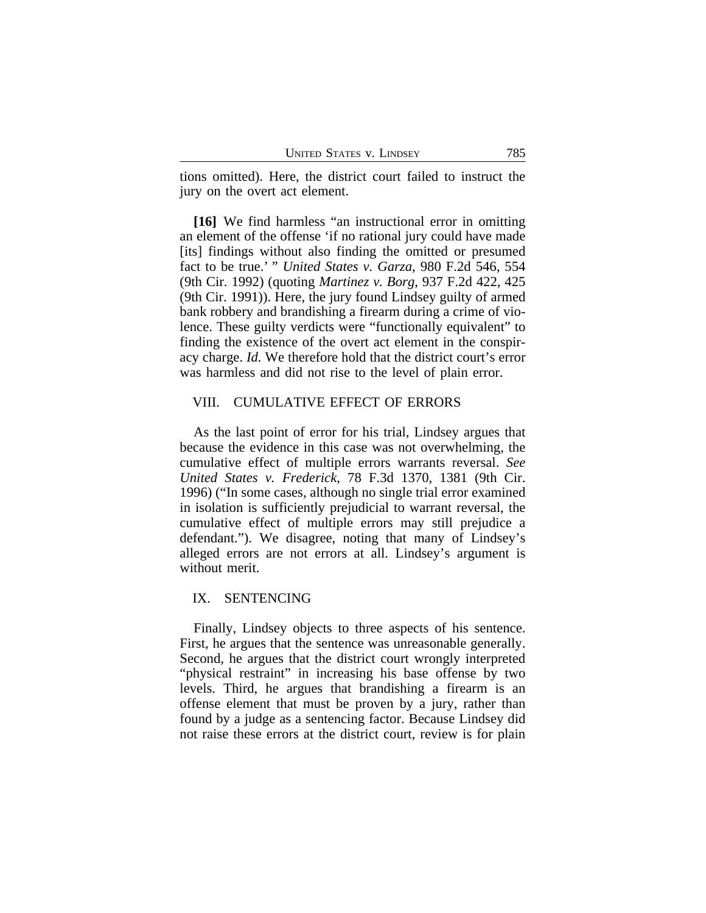tions omitted). Here, the district court failed to instruct the jury on the overt act element.

**[16]** We find harmless "an instructional error in omitting an element of the offense 'if no rational jury could have made [its] findings without also finding the omitted or presumed fact to be true.' " *United States v. Garza*, 980 F.2d 546, 554 (9th Cir. 1992) (quoting *Martinez v. Borg*, 937 F.2d 422, 425 (9th Cir. 1991)). Here, the jury found Lindsey guilty of armed bank robbery and brandishing a firearm during a crime of violence. These guilty verdicts were "functionally equivalent" to finding the existence of the overt act element in the conspiracy charge. *Id.* We therefore hold that the district court's error was harmless and did not rise to the level of plain error.

# VIII. CUMULATIVE EFFECT OF ERRORS

As the last point of error for his trial, Lindsey argues that because the evidence in this case was not overwhelming, the cumulative effect of multiple errors warrants reversal. *See United States v. Frederick*, 78 F.3d 1370, 1381 (9th Cir. 1996) ("In some cases, although no single trial error examined in isolation is sufficiently prejudicial to warrant reversal, the cumulative effect of multiple errors may still prejudice a defendant."). We disagree, noting that many of Lindsey's alleged errors are not errors at all. Lindsey's argument is without merit.

# IX. SENTENCING

Finally, Lindsey objects to three aspects of his sentence. First, he argues that the sentence was unreasonable generally. Second, he argues that the district court wrongly interpreted "physical restraint" in increasing his base offense by two levels. Third, he argues that brandishing a firearm is an offense element that must be proven by a jury, rather than found by a judge as a sentencing factor. Because Lindsey did not raise these errors at the district court, review is for plain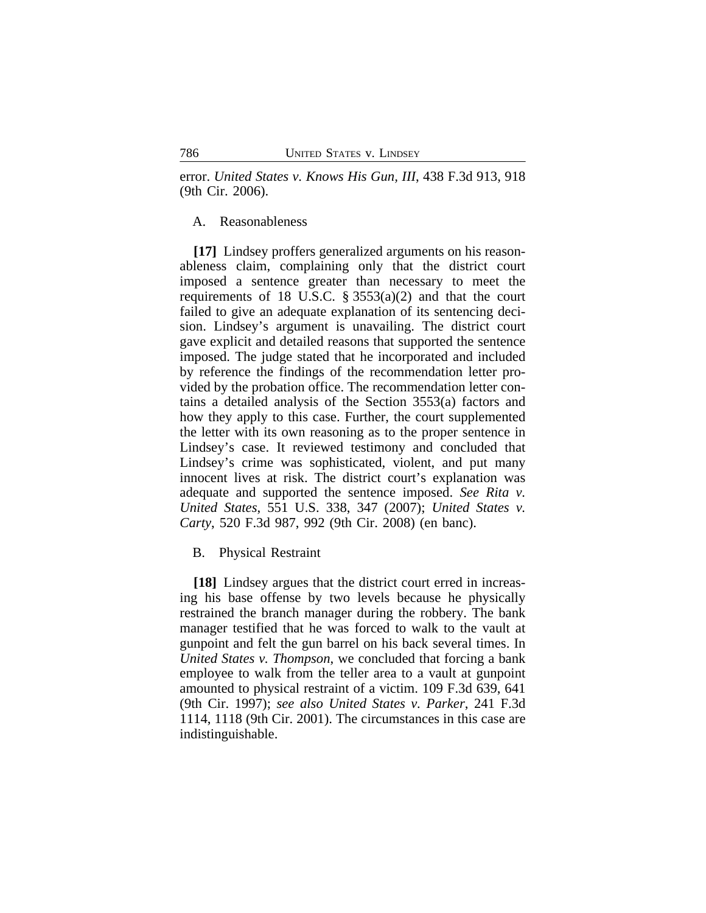error. *United States v. Knows His Gun, III*, 438 F.3d 913, 918 (9th Cir. 2006).

## A. Reasonableness

**[17]** Lindsey proffers generalized arguments on his reasonableness claim, complaining only that the district court imposed a sentence greater than necessary to meet the requirements of 18 U.S.C.  $\S 3553(a)(2)$  and that the court failed to give an adequate explanation of its sentencing decision. Lindsey's argument is unavailing. The district court gave explicit and detailed reasons that supported the sentence imposed. The judge stated that he incorporated and included by reference the findings of the recommendation letter provided by the probation office. The recommendation letter contains a detailed analysis of the Section 3553(a) factors and how they apply to this case. Further, the court supplemented the letter with its own reasoning as to the proper sentence in Lindsey's case. It reviewed testimony and concluded that Lindsey's crime was sophisticated, violent, and put many innocent lives at risk. The district court's explanation was adequate and supported the sentence imposed. *See Rita v. United States*, 551 U.S. 338, 347 (2007); *United States v. Carty*, 520 F.3d 987, 992 (9th Cir. 2008) (en banc).

#### B. Physical Restraint

**[18]** Lindsey argues that the district court erred in increasing his base offense by two levels because he physically restrained the branch manager during the robbery. The bank manager testified that he was forced to walk to the vault at gunpoint and felt the gun barrel on his back several times. In *United States v. Thompson*, we concluded that forcing a bank employee to walk from the teller area to a vault at gunpoint amounted to physical restraint of a victim. 109 F.3d 639, 641 (9th Cir. 1997); *see also United States v. Parker*, 241 F.3d 1114, 1118 (9th Cir. 2001). The circumstances in this case are indistinguishable.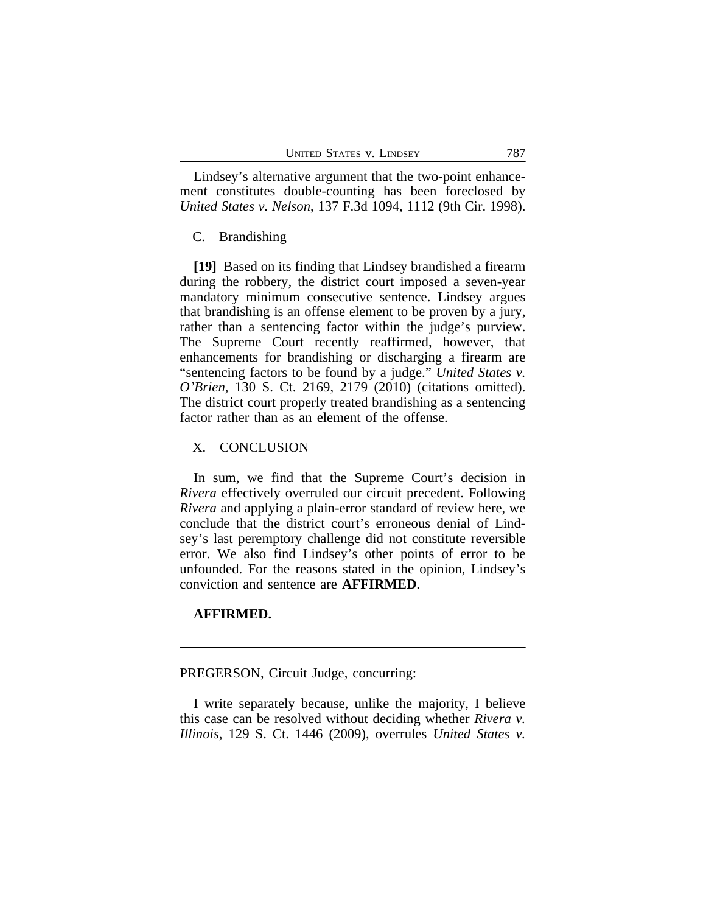Lindsey's alternative argument that the two-point enhancement constitutes double-counting has been foreclosed by *United States v. Nelson*, 137 F.3d 1094, 1112 (9th Cir. 1998).

## C. Brandishing

**[19]** Based on its finding that Lindsey brandished a firearm during the robbery, the district court imposed a seven-year mandatory minimum consecutive sentence. Lindsey argues that brandishing is an offense element to be proven by a jury, rather than a sentencing factor within the judge's purview. The Supreme Court recently reaffirmed, however, that enhancements for brandishing or discharging a firearm are "sentencing factors to be found by a judge." *United States v. O'Brien*, 130 S. Ct. 2169, 2179 (2010) (citations omitted). The district court properly treated brandishing as a sentencing factor rather than as an element of the offense.

#### X. CONCLUSION

In sum, we find that the Supreme Court's decision in *Rivera* effectively overruled our circuit precedent. Following *Rivera* and applying a plain-error standard of review here, we conclude that the district court's erroneous denial of Lindsey's last peremptory challenge did not constitute reversible error. We also find Lindsey's other points of error to be unfounded. For the reasons stated in the opinion, Lindsey's conviction and sentence are **AFFIRMED**.

# **AFFIRMED.**

PREGERSON, Circuit Judge, concurring:

I write separately because, unlike the majority, I believe this case can be resolved without deciding whether *Rivera v. Illinois*, 129 S. Ct. 1446 (2009), overrules *United States v.*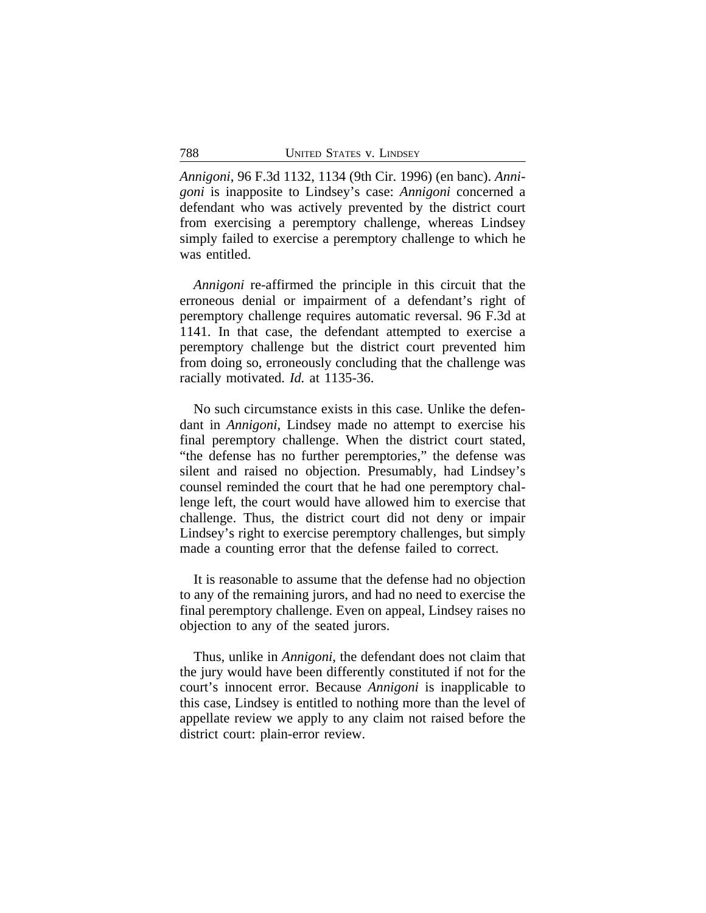*Annigoni*, 96 F.3d 1132, 1134 (9th Cir. 1996) (en banc). *Annigoni* is inapposite to Lindsey's case: *Annigoni* concerned a defendant who was actively prevented by the district court from exercising a peremptory challenge, whereas Lindsey simply failed to exercise a peremptory challenge to which he was entitled.

*Annigoni* re-affirmed the principle in this circuit that the erroneous denial or impairment of a defendant's right of peremptory challenge requires automatic reversal. 96 F.3d at 1141. In that case, the defendant attempted to exercise a peremptory challenge but the district court prevented him from doing so, erroneously concluding that the challenge was racially motivated. *Id.* at 1135-36.

No such circumstance exists in this case. Unlike the defendant in *Annigoni*, Lindsey made no attempt to exercise his final peremptory challenge. When the district court stated, "the defense has no further peremptories," the defense was silent and raised no objection. Presumably, had Lindsey's counsel reminded the court that he had one peremptory challenge left, the court would have allowed him to exercise that challenge. Thus, the district court did not deny or impair Lindsey's right to exercise peremptory challenges, but simply made a counting error that the defense failed to correct.

It is reasonable to assume that the defense had no objection to any of the remaining jurors, and had no need to exercise the final peremptory challenge. Even on appeal, Lindsey raises no objection to any of the seated jurors.

Thus, unlike in *Annigoni*, the defendant does not claim that the jury would have been differently constituted if not for the court's innocent error. Because *Annigoni* is inapplicable to this case, Lindsey is entitled to nothing more than the level of appellate review we apply to any claim not raised before the district court: plain-error review.